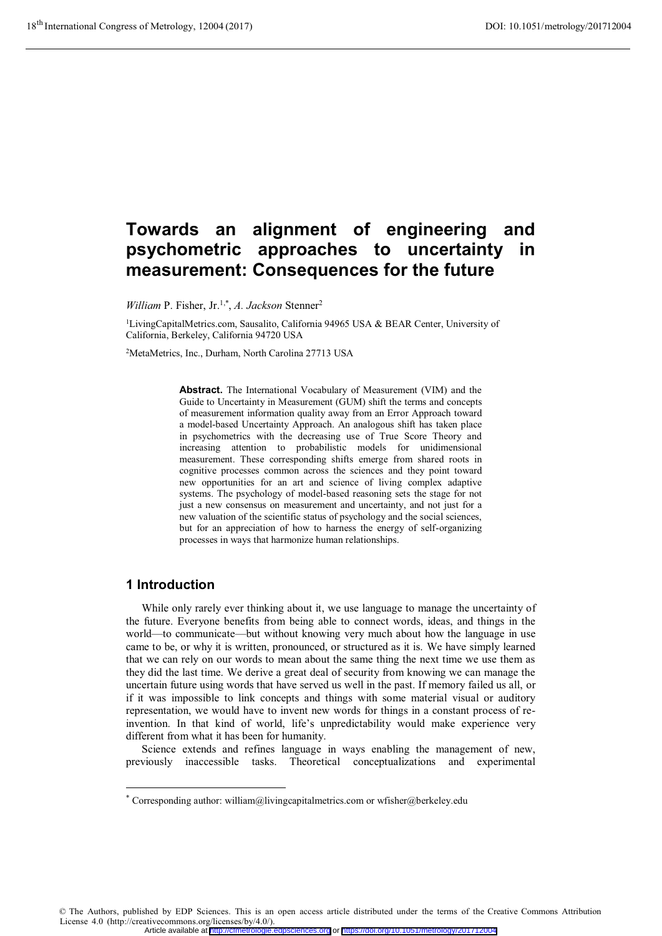# **Towards an alignment of engineering and psychometric approaches to uncertainty in measurement: Consequences for the future**

*William* P. Fisher, Jr.<sup>1,\*</sup>, *A. Jackson* Stenner<sup>2</sup>

<sup>1</sup>LivingCapitalMetrics.com, Sausalito, California 94965 USA & BEAR Center, University of California, Berkeley, California 94720 USA

2MetaMetrics, Inc., Durham, North Carolina 27713 USA

**Abstract.** The International Vocabulary of Measurement (VIM) and the Guide to Uncertainty in Measurement (GUM) shift the terms and concepts of measurement information quality away from an Error Approach toward a model-based Uncertainty Approach. An analogous shift has taken place in psychometrics with the decreasing use of True Score Theory and increasing attention to probabilistic models for unidimensional measurement. These corresponding shifts emerge from shared roots in cognitive processes common across the sciences and they point toward new opportunities for an art and science of living complex adaptive systems. The psychology of model-based reasoning sets the stage for not just a new consensus on measurement and uncertainty, and not just for a new valuation of the scientific status of psychology and the social sciences, but for an appreciation of how to harness the energy of self-organizing processes in ways that harmonize human relationships.

### **1 Introduction**

-

While only rarely ever thinking about it, we use language to manage the uncertainty of the future. Everyone benefits from being able to connect words, ideas, and things in the world—to communicate—but without knowing very much about how the language in use came to be, or why it is written, pronounced, or structured as it is. We have simply learned that we can rely on our words to mean about the same thing the next time we use them as they did the last time. We derive a great deal of security from knowing we can manage the uncertain future using words that have served us well in the past. If memory failed us all, or if it was impossible to link concepts and things with some material visual or auditory representation, we would have to invent new words for things in a constant process of reinvention. In that kind of world, life's unpredictability would make experience very different from what it has been for humanity.

Science extends and refines language in ways enabling the management of new, previously inaccessible tasks. Theoretical conceptualizations and experimental

© The Authors, published by EDP Sciences. This is an open access article distributed under the terms of the Creative Commons Attribution License 4.0 (http://creativecommons.org/licenses/by/4.0/). Article available at <http://cfmetrologie.edpsciences.org> or <https://doi.org/10.1051/metrology/201712004>

<sup>\*</sup> Corresponding author: william@livingcapitalmetrics.com or wfisher@berkeley.edu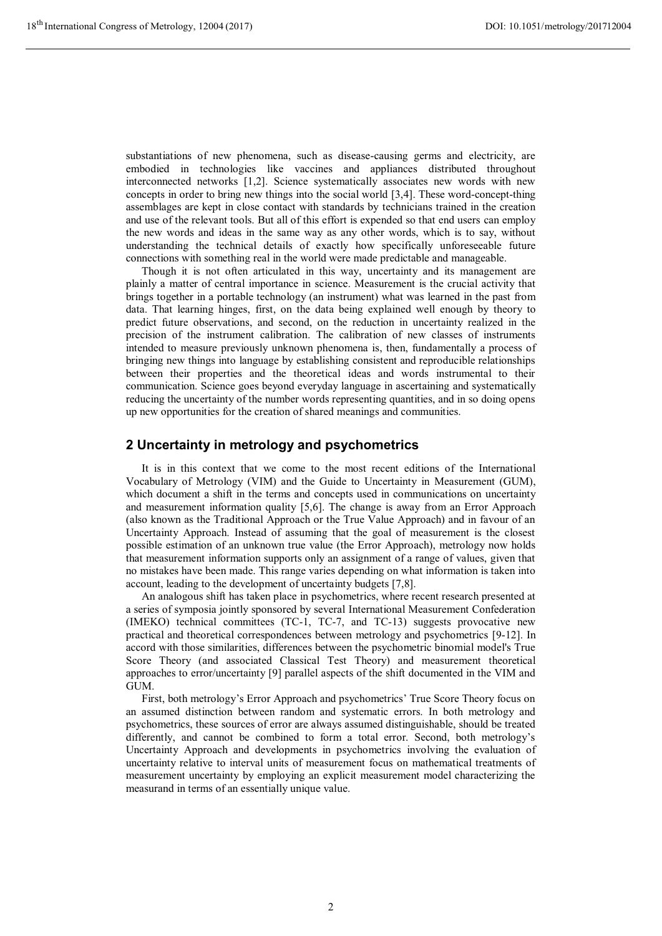substantiations of new phenomena, such as disease-causing germs and electricity, are embodied in technologies like vaccines and appliances distributed throughout interconnected networks [1,2]. Science systematically associates new words with new concepts in order to bring new things into the social world [3,4]. These word-concept-thing assemblages are kept in close contact with standards by technicians trained in the creation and use of the relevant tools. But all of this effort is expended so that end users can employ the new words and ideas in the same way as any other words, which is to say, without understanding the technical details of exactly how specifically unforeseeable future connections with something real in the world were made predictable and manageable.

Though it is not often articulated in this way, uncertainty and its management are plainly a matter of central importance in science. Measurement is the crucial activity that brings together in a portable technology (an instrument) what was learned in the past from data. That learning hinges, first, on the data being explained well enough by theory to predict future observations, and second, on the reduction in uncertainty realized in the precision of the instrument calibration. The calibration of new classes of instruments intended to measure previously unknown phenomena is, then, fundamentally a process of bringing new things into language by establishing consistent and reproducible relationships between their properties and the theoretical ideas and words instrumental to their communication. Science goes beyond everyday language in ascertaining and systematically reducing the uncertainty of the number words representing quantities, and in so doing opens up new opportunities for the creation of shared meanings and communities.

### **2 Uncertainty in metrology and psychometrics**

It is in this context that we come to the most recent editions of the International Vocabulary of Metrology (VIM) and the Guide to Uncertainty in Measurement (GUM), which document a shift in the terms and concepts used in communications on uncertainty and measurement information quality [5,6]. The change is away from an Error Approach (also known as the Traditional Approach or the True Value Approach) and in favour of an Uncertainty Approach. Instead of assuming that the goal of measurement is the closest possible estimation of an unknown true value (the Error Approach), metrology now holds that measurement information supports only an assignment of a range of values, given that no mistakes have been made. This range varies depending on what information is taken into account, leading to the development of uncertainty budgets [7,8].

An analogous shift has taken place in psychometrics, where recent research presented at a series of symposia jointly sponsored by several International Measurement Confederation (IMEKO) technical committees (TC-1, TC-7, and TC-13) suggests provocative new practical and theoretical correspondences between metrology and psychometrics [9-12]. In accord with those similarities, differences between the psychometric binomial model's True Score Theory (and associated Classical Test Theory) and measurement theoretical approaches to error/uncertainty [9] parallel aspects of the shift documented in the VIM and GUM.

First, both metrology's Error Approach and psychometrics' True Score Theory focus on an assumed distinction between random and systematic errors. In both metrology and psychometrics, these sources of error are always assumed distinguishable, should be treated differently, and cannot be combined to form a total error. Second, both metrology's Uncertainty Approach and developments in psychometrics involving the evaluation of uncertainty relative to interval units of measurement focus on mathematical treatments of measurement uncertainty by employing an explicit measurement model characterizing the measurand in terms of an essentially unique value.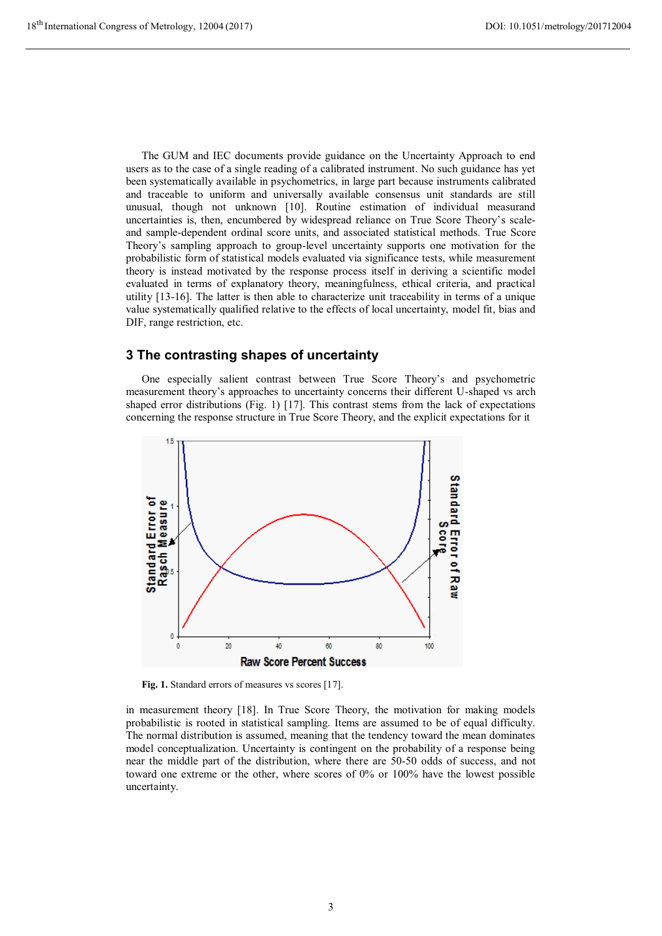The GUM and IEC documents provide guidance on the Uncertainty Approach to end users as to the case of a single reading of a calibrated instrument. No such guidance has yet been systematically available in psychometrics, in large part because instruments calibrated and traceable to uniform and universally available consensus unit standards are still unusual, though not unknown [10]. Routine estimation of individual measurand uncertainties is, then, encumbered by widespread reliance on True Score Theory's scaleand sample-dependent ordinal score units, and associated statistical methods. True Score Theory's sampling approach to group-level uncertainty supports one motivation for the probabilistic form of statistical models evaluated via significance tests, while measurement theory is instead motivated by the response process itself in deriving a scientific model evaluated in terms of explanatory theory, meaningfulness, ethical criteria, and practical utility [13-16]. The latter is then able to characterize unit traceability in terms of a unique value systematically qualified relative to the effects of local uncertainty, model fit, bias and DIF, range restriction, etc.

#### **3 The contrasting shapes of uncertainty**

One especially salient contrast between True Score Theory's and psychometric measurement theory's approaches to uncertainty concerns their different U-shaped vs arch shaped error distributions (Fig. 1) [17]. This contrast stems from the lack of expectations concerning the response structure in True Score Theory, and the explicit expectations for it



**Fig. 1.** Standard errors of measures vs scores [17].

in measurement theory [18]. In True Score Theory, the motivation for making models probabilistic is rooted in statistical sampling. Items are assumed to be of equal difficulty. The normal distribution is assumed, meaning that the tendency toward the mean dominates model conceptualization. Uncertainty is contingent on the probability of a response being near the middle part of the distribution, where there are 50-50 odds of success, and not toward one extreme or the other, where scores of 0% or 100% have the lowest possible uncertainty.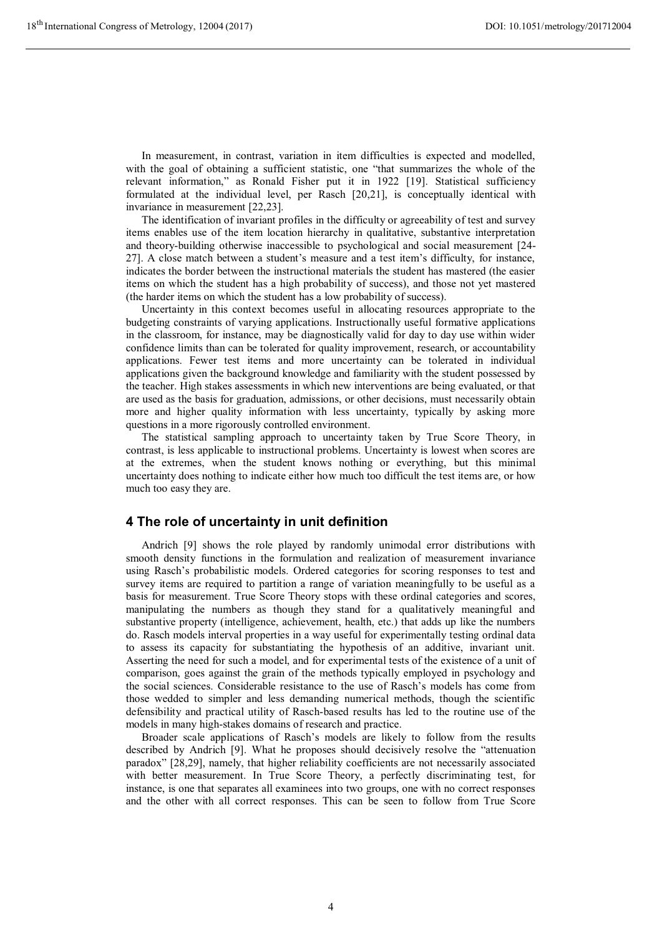In measurement, in contrast, variation in item difficulties is expected and modelled, with the goal of obtaining a sufficient statistic, one "that summarizes the whole of the relevant information," as Ronald Fisher put it in 1922 [19]. Statistical sufficiency formulated at the individual level, per Rasch [20,21], is conceptually identical with invariance in measurement [22,23].

The identification of invariant profiles in the difficulty or agreeability of test and survey items enables use of the item location hierarchy in qualitative, substantive interpretation and theory-building otherwise inaccessible to psychological and social measurement [24- 27]. A close match between a student's measure and a test item's difficulty, for instance, indicates the border between the instructional materials the student has mastered (the easier items on which the student has a high probability of success), and those not yet mastered (the harder items on which the student has a low probability of success).

Uncertainty in this context becomes useful in allocating resources appropriate to the budgeting constraints of varying applications. Instructionally useful formative applications in the classroom, for instance, may be diagnostically valid for day to day use within wider confidence limits than can be tolerated for quality improvement, research, or accountability applications. Fewer test items and more uncertainty can be tolerated in individual applications given the background knowledge and familiarity with the student possessed by the teacher. High stakes assessments in which new interventions are being evaluated, or that are used as the basis for graduation, admissions, or other decisions, must necessarily obtain more and higher quality information with less uncertainty, typically by asking more questions in a more rigorously controlled environment.

The statistical sampling approach to uncertainty taken by True Score Theory, in contrast, is less applicable to instructional problems. Uncertainty is lowest when scores are at the extremes, when the student knows nothing or everything, but this minimal uncertainty does nothing to indicate either how much too difficult the test items are, or how much too easy they are.

#### **4 The role of uncertainty in unit definition**

Andrich [9] shows the role played by randomly unimodal error distributions with smooth density functions in the formulation and realization of measurement invariance using Rasch's probabilistic models. Ordered categories for scoring responses to test and survey items are required to partition a range of variation meaningfully to be useful as a basis for measurement. True Score Theory stops with these ordinal categories and scores, manipulating the numbers as though they stand for a qualitatively meaningful and substantive property (intelligence, achievement, health, etc.) that adds up like the numbers do. Rasch models interval properties in a way useful for experimentally testing ordinal data to assess its capacity for substantiating the hypothesis of an additive, invariant unit. Asserting the need for such a model, and for experimental tests of the existence of a unit of comparison, goes against the grain of the methods typically employed in psychology and the social sciences. Considerable resistance to the use of Rasch's models has come from those wedded to simpler and less demanding numerical methods, though the scientific defensibility and practical utility of Rasch-based results has led to the routine use of the models in many high-stakes domains of research and practice.

Broader scale applications of Rasch's models are likely to follow from the results described by Andrich [9]. What he proposes should decisively resolve the "attenuation paradox" [28,29], namely, that higher reliability coefficients are not necessarily associated with better measurement. In True Score Theory, a perfectly discriminating test, for instance, is one that separates all examinees into two groups, one with no correct responses and the other with all correct responses. This can be seen to follow from True Score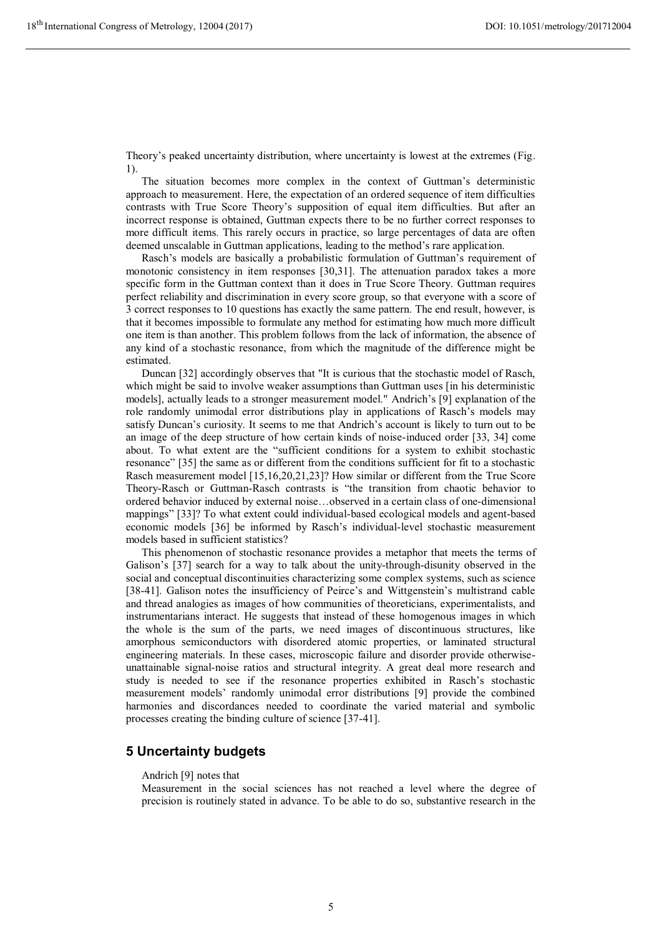Theory's peaked uncertainty distribution, where uncertainty is lowest at the extremes (Fig. 1).

The situation becomes more complex in the context of Guttman's deterministic approach to measurement. Here, the expectation of an ordered sequence of item difficulties contrasts with True Score Theory's supposition of equal item difficulties. But after an incorrect response is obtained, Guttman expects there to be no further correct responses to more difficult items. This rarely occurs in practice, so large percentages of data are often deemed unscalable in Guttman applications, leading to the method's rare application.

Rasch's models are basically a probabilistic formulation of Guttman's requirement of monotonic consistency in item responses [30,31]. The attenuation paradox takes a more specific form in the Guttman context than it does in True Score Theory. Guttman requires perfect reliability and discrimination in every score group, so that everyone with a score of 3 correct responses to 10 questions has exactly the same pattern. The end result, however, is that it becomes impossible to formulate any method for estimating how much more difficult one item is than another. This problem follows from the lack of information, the absence of any kind of a stochastic resonance, from which the magnitude of the difference might be estimated.

Duncan [32] accordingly observes that "It is curious that the stochastic model of Rasch, which might be said to involve weaker assumptions than Guttman uses [in his deterministic models], actually leads to a stronger measurement model." Andrich's [9] explanation of the role randomly unimodal error distributions play in applications of Rasch's models may satisfy Duncan's curiosity. It seems to me that Andrich's account is likely to turn out to be an image of the deep structure of how certain kinds of noise-induced order [33, 34] come about. To what extent are the "sufficient conditions for a system to exhibit stochastic resonance" [35] the same as or different from the conditions sufficient for fit to a stochastic Rasch measurement model [15,16,20,21,23]? How similar or different from the True Score Theory-Rasch or Guttman-Rasch contrasts is "the transition from chaotic behavior to ordered behavior induced by external noise…observed in a certain class of one-dimensional mappings" [33]? To what extent could individual-based ecological models and agent-based economic models [36] be informed by Rasch's individual-level stochastic measurement models based in sufficient statistics?

This phenomenon of stochastic resonance provides a metaphor that meets the terms of Galison's [37] search for a way to talk about the unity-through-disunity observed in the social and conceptual discontinuities characterizing some complex systems, such as science [38-41]. Galison notes the insufficiency of Peirce's and Wittgenstein's multistrand cable and thread analogies as images of how communities of theoreticians, experimentalists, and instrumentarians interact. He suggests that instead of these homogenous images in which the whole is the sum of the parts, we need images of discontinuous structures, like amorphous semiconductors with disordered atomic properties, or laminated structural engineering materials. In these cases, microscopic failure and disorder provide otherwiseunattainable signal-noise ratios and structural integrity. A great deal more research and study is needed to see if the resonance properties exhibited in Rasch's stochastic measurement models' randomly unimodal error distributions [9] provide the combined harmonies and discordances needed to coordinate the varied material and symbolic processes creating the binding culture of science [37-41].

#### **5 Uncertainty budgets**

#### Andrich [9] notes that

Measurement in the social sciences has not reached a level where the degree of precision is routinely stated in advance. To be able to do so, substantive research in the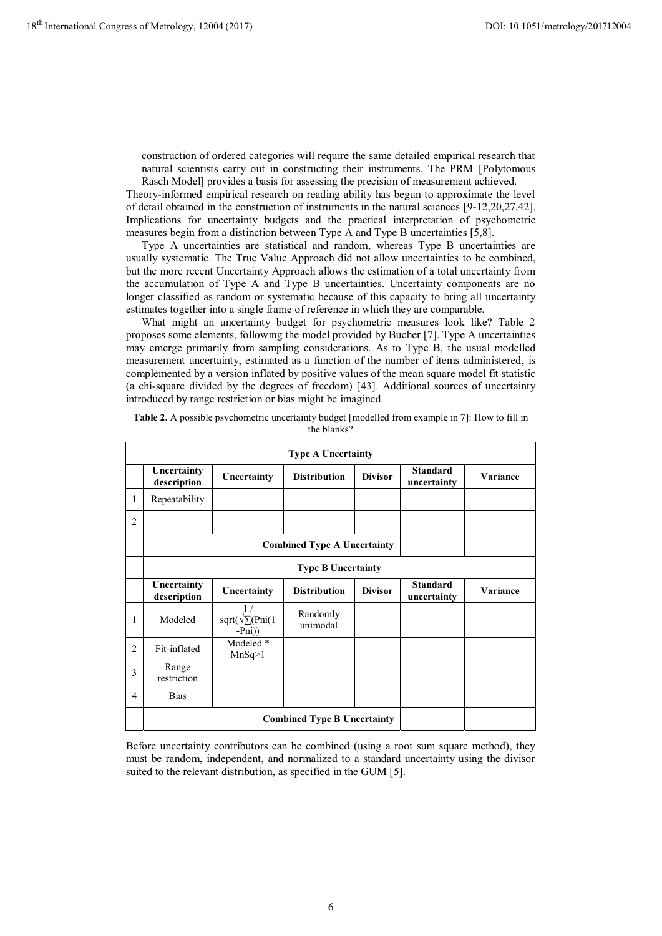construction of ordered categories will require the same detailed empirical research that natural scientists carry out in constructing their instruments. The PRM [Polytomous

Rasch Model] provides a basis for assessing the precision of measurement achieved. Theory-informed empirical research on reading ability has begun to approximate the level of detail obtained in the construction of instruments in the natural sciences [9-12,20,27,42]. Implications for uncertainty budgets and the practical interpretation of psychometric measures begin from a distinction between Type A and Type B uncertainties [5,8].

Type A uncertainties are statistical and random, whereas Type B uncertainties are usually systematic. The True Value Approach did not allow uncertainties to be combined, but the more recent Uncertainty Approach allows the estimation of a total uncertainty from the accumulation of Type A and Type B uncertainties. Uncertainty components are no longer classified as random or systematic because of this capacity to bring all uncertainty estimates together into a single frame of reference in which they are comparable.

What might an uncertainty budget for psychometric measures look like? Table 2 proposes some elements, following the model provided by Bucher [7]. Type A uncertainties may emerge primarily from sampling considerations. As to Type B, the usual modelled measurement uncertainty, estimated as a function of the number of items administered, is complemented by a version inflated by positive values of the mean square model fit statistic (a chi-square divided by the degrees of freedom) [43]. Additional sources of uncertainty introduced by range restriction or bias might be imagined.

| <b>Type A Uncertainty</b> |                                    |                                               |                      |                |                                |          |
|---------------------------|------------------------------------|-----------------------------------------------|----------------------|----------------|--------------------------------|----------|
|                           | Uncertainty<br>description         | Uncertainty                                   | <b>Distribution</b>  | <b>Divisor</b> | <b>Standard</b><br>uncertainty | Variance |
| 1                         | Repeatability                      |                                               |                      |                |                                |          |
| $\overline{2}$            |                                    |                                               |                      |                |                                |          |
|                           | <b>Combined Type A Uncertainty</b> |                                               |                      |                |                                |          |
|                           | <b>Type B Uncertainty</b>          |                                               |                      |                |                                |          |
|                           | Uncertainty<br>description         | Uncertainty                                   | <b>Distribution</b>  | <b>Divisor</b> | <b>Standard</b><br>uncertainty | Variance |
| 1                         | Modeled                            | 1/<br>sqrt( $\sqrt{\Sigma}$ (Pni(1<br>$-Pni)$ | Randomly<br>unimodal |                |                                |          |
| $\overline{2}$            | Fit-inflated                       | Modeled *<br>MnSq>1                           |                      |                |                                |          |
| 3                         | Range<br>restriction               |                                               |                      |                |                                |          |
| 4                         | <b>Bias</b>                        |                                               |                      |                |                                |          |
|                           | <b>Combined Type B Uncertainty</b> |                                               |                      |                |                                |          |

**Table 2.** A possible psychometric uncertainty budget [modelled from example in 7]: How to fill in the blanks?

Before uncertainty contributors can be combined (using a root sum square method), they must be random, independent, and normalized to a standard uncertainty using the divisor suited to the relevant distribution, as specified in the GUM [5].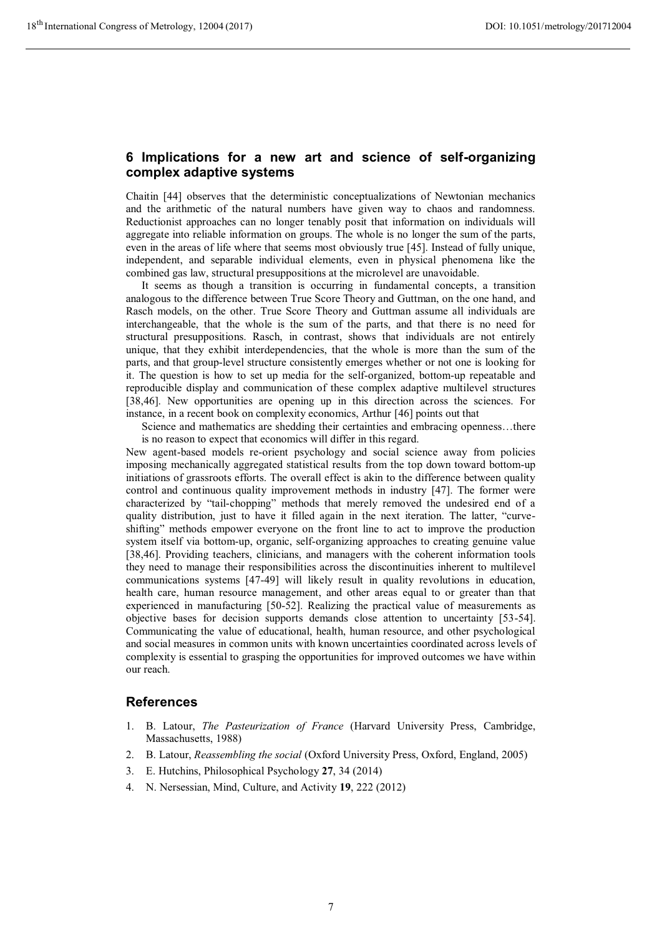## **6 Implications for a new art and science of self-organizing complex adaptive systems**

Chaitin [44] observes that the deterministic conceptualizations of Newtonian mechanics and the arithmetic of the natural numbers have given way to chaos and randomness. Reductionist approaches can no longer tenably posit that information on individuals will aggregate into reliable information on groups. The whole is no longer the sum of the parts, even in the areas of life where that seems most obviously true [45]. Instead of fully unique, independent, and separable individual elements, even in physical phenomena like the combined gas law, structural presuppositions at the microlevel are unavoidable.

It seems as though a transition is occurring in fundamental concepts, a transition analogous to the difference between True Score Theory and Guttman, on the one hand, and Rasch models, on the other. True Score Theory and Guttman assume all individuals are interchangeable, that the whole is the sum of the parts, and that there is no need for structural presuppositions. Rasch, in contrast, shows that individuals are not entirely unique, that they exhibit interdependencies, that the whole is more than the sum of the parts, and that group-level structure consistently emerges whether or not one is looking for it. The question is how to set up media for the self-organized, bottom-up repeatable and reproducible display and communication of these complex adaptive multilevel structures [38,46]. New opportunities are opening up in this direction across the sciences. For instance, in a recent book on complexity economics, Arthur [46] points out that

Science and mathematics are shedding their certainties and embracing openness…there is no reason to expect that economics will differ in this regard.

New agent-based models re-orient psychology and social science away from policies imposing mechanically aggregated statistical results from the top down toward bottom-up initiations of grassroots efforts. The overall effect is akin to the difference between quality control and continuous quality improvement methods in industry [47]. The former were characterized by "tail-chopping" methods that merely removed the undesired end of a quality distribution, just to have it filled again in the next iteration. The latter, "curveshifting" methods empower everyone on the front line to act to improve the production system itself via bottom-up, organic, self-organizing approaches to creating genuine value [38,46]. Providing teachers, clinicians, and managers with the coherent information tools they need to manage their responsibilities across the discontinuities inherent to multilevel communications systems [47-49] will likely result in quality revolutions in education, health care, human resource management, and other areas equal to or greater than that experienced in manufacturing [50-52]. Realizing the practical value of measurements as objective bases for decision supports demands close attention to uncertainty [53-54]. Communicating the value of educational, health, human resource, and other psychological and social measures in common units with known uncertainties coordinated across levels of complexity is essential to grasping the opportunities for improved outcomes we have within our reach.

#### **References**

- 1. B. Latour, *The Pasteurization of France* (Harvard University Press, Cambridge, Massachusetts, 1988)
- 2. B. Latour, *Reassembling the social* (Oxford University Press, Oxford, England, 2005)
- 3. E. Hutchins, Philosophical Psychology **27**, 34 (2014)
- 4. N. Nersessian, Mind, Culture, and Activity **19**, 222 (2012)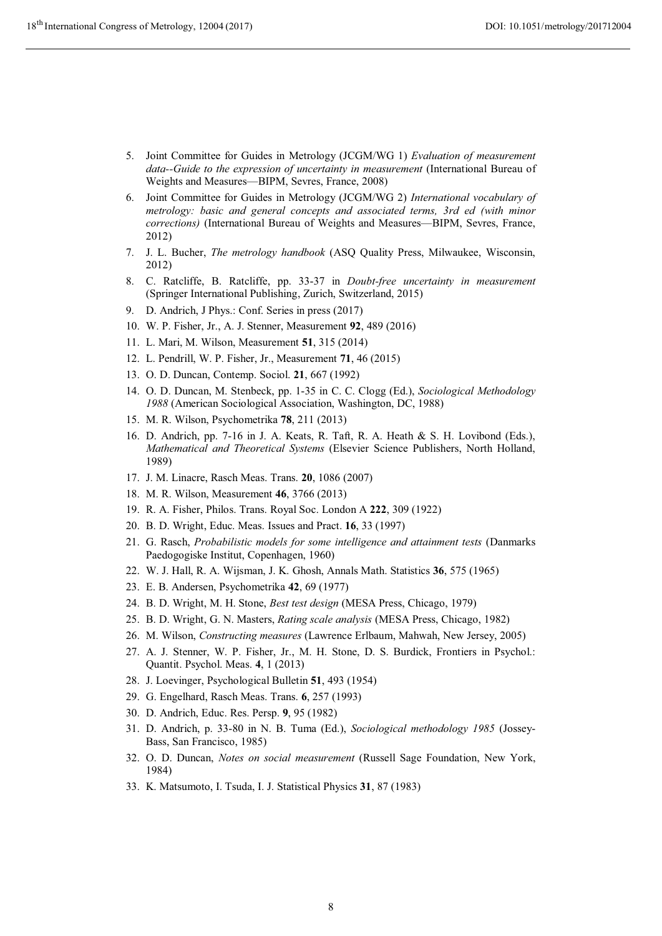- 5. Joint Committee for Guides in Metrology (JCGM/WG 1) *Evaluation of measurement data--Guide to the expression of uncertainty in measurement* (International Bureau of Weights and Measures—BIPM, Sevres, France, 2008)
- 6. Joint Committee for Guides in Metrology (JCGM/WG 2) *International vocabulary of metrology: basic and general concepts and associated terms, 3rd ed (with minor corrections)* (International Bureau of Weights and Measures—BIPM, Sevres, France, 2012)
- 7. J. L. Bucher, *The metrology handbook* (ASQ Quality Press, Milwaukee, Wisconsin, 2012)
- 8. C. Ratcliffe, B. Ratcliffe, pp. 33-37 in *Doubt-free uncertainty in measurement*  (Springer International Publishing, Zurich, Switzerland, 2015)
- 9. D. Andrich, J Phys.: Conf. Series in press (2017)
- 10. W. P. Fisher, Jr., A. J. Stenner, Measurement **92**, 489 (2016)
- 11. L. Mari, M. Wilson, Measurement **51**, 315 (2014)
- 12. L. Pendrill, W. P. Fisher, Jr., Measurement **71**, 46 (2015)
- 13. O. D. Duncan, Contemp. Sociol. **21**, 667 (1992)
- 14. O. D. Duncan, M. Stenbeck, pp. 1-35 in C. C. Clogg (Ed.), *Sociological Methodology 1988* (American Sociological Association, Washington, DC, 1988)
- 15. M. R. Wilson, Psychometrika **78**, 211 (2013)
- 16. D. Andrich, pp. 7-16 in J. A. Keats, R. Taft, R. A. Heath & S. H. Lovibond (Eds.), *Mathematical and Theoretical Systems* (Elsevier Science Publishers, North Holland, 1989)
- 17. J. M. Linacre, Rasch Meas. Trans. **20**, 1086 (2007)
- 18. M. R. Wilson, Measurement **46**, 3766 (2013)
- 19. R. A. Fisher, Philos. Trans. Royal Soc. London A **222**, 309 (1922)
- 20. B. D. Wright, Educ. Meas. Issues and Pract. **16**, 33 (1997)
- 21. G. Rasch, *Probabilistic models for some intelligence and attainment tests* (Danmarks Paedogogiske Institut, Copenhagen, 1960)
- 22. W. J. Hall, R. A. Wijsman, J. K. Ghosh, Annals Math. Statistics **36**, 575 (1965)
- 23. E. B. Andersen, Psychometrika **42**, 69 (1977)
- 24. B. D. Wright, M. H. Stone, *Best test design* (MESA Press, Chicago, 1979)
- 25. B. D. Wright, G. N. Masters, *Rating scale analysis* (MESA Press, Chicago, 1982)
- 26. M. Wilson, *Constructing measures* (Lawrence Erlbaum, Mahwah, New Jersey, 2005)
- 27. A. J. Stenner, W. P. Fisher, Jr., M. H. Stone, D. S. Burdick, Frontiers in Psychol.: Quantit. Psychol. Meas. **4**, 1 (2013)
- 28. J. Loevinger, Psychological Bulletin **51**, 493 (1954)
- 29. G. Engelhard, Rasch Meas. Trans. **6**, 257 (1993)
- 30. D. Andrich, Educ. Res. Persp. **9**, 95 (1982)
- 31. D. Andrich, p. 33-80 in N. B. Tuma (Ed.), *Sociological methodology 1985* (Jossey-Bass, San Francisco, 1985)
- 32. O. D. Duncan, *Notes on social measurement* (Russell Sage Foundation, New York, 1984)
- 33. K. Matsumoto, I. Tsuda, I. J. Statistical Physics **31**, 87 (1983)